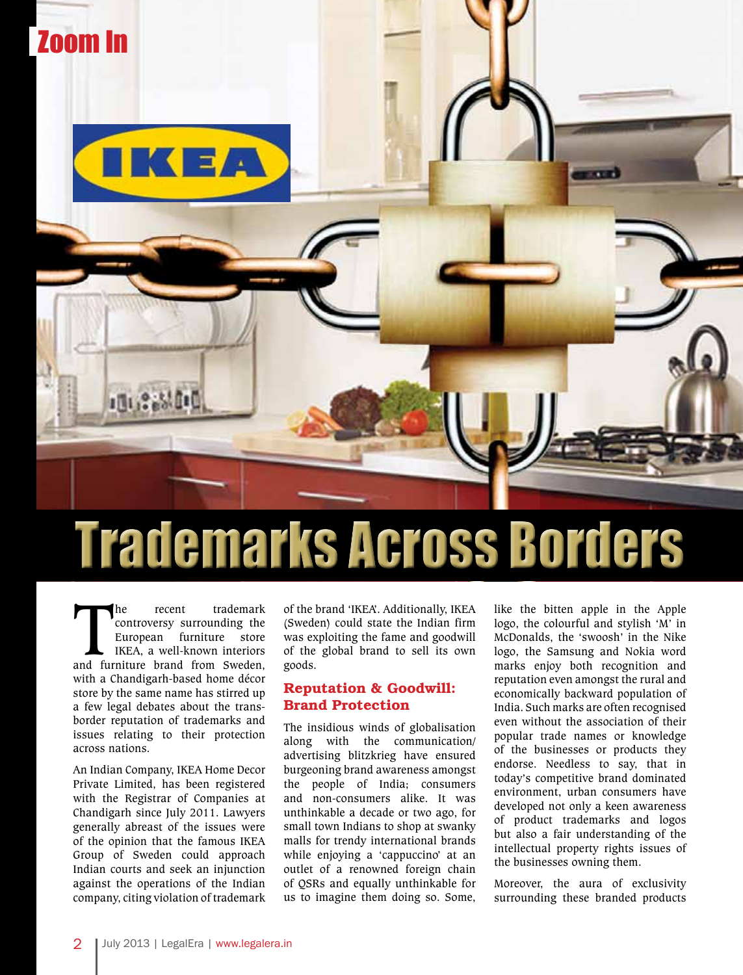

# Trademarks Across Borders

The recent trademark controversy surrounding the European furniture store<br>
IKEA, a well-known interiors<br>
and furniture brand from Sweden, controversy surrounding the European furniture store IKEA, a well-known interiors with a Chandigarh-based home décor store by the same name has stirred up a few legal debates about the transborder reputation of trademarks and issues relating to their protection across nations.

An Indian Company, IKEA Home Decor Private Limited, has been registered with the Registrar of Companies at Chandigarh since July 2011. Lawyers generally abreast of the issues were of the opinion that the famous IKEA Group of Sweden could approach Indian courts and seek an injunction against the operations of the Indian company, citing violation of trademark of the brand 'IKEA'. Additionally, IKEA (Sweden) could state the Indian firm was exploiting the fame and goodwill of the global brand to sell its own goods.

### Reputation & Goodwill: Brand Protection

The insidious winds of globalisation along with the communication/ advertising blitzkrieg have ensured burgeoning brand awareness amongst the people of India; consumers and non-consumers alike. It was unthinkable a decade or two ago, for small town Indians to shop at swanky malls for trendy international brands while enjoying a 'cappuccino' at an outlet of a renowned foreign chain of QSRs and equally unthinkable for us to imagine them doing so. Some,

like the bitten apple in the Apple logo, the colourful and stylish 'M' in McDonalds, the 'swoosh' in the Nike logo, the Samsung and Nokia word marks enjoy both recognition and reputation even amongst the rural and economically backward population of India. Such marks are often recognised even without the association of their popular trade names or knowledge of the businesses or products they endorse. Needless to say, that in today's competitive brand dominated environment, urban consumers have developed not only a keen awareness of product trademarks and logos but also a fair understanding of the intellectual property rights issues of the businesses owning them.

Moreover, the aura of exclusivity surrounding these branded products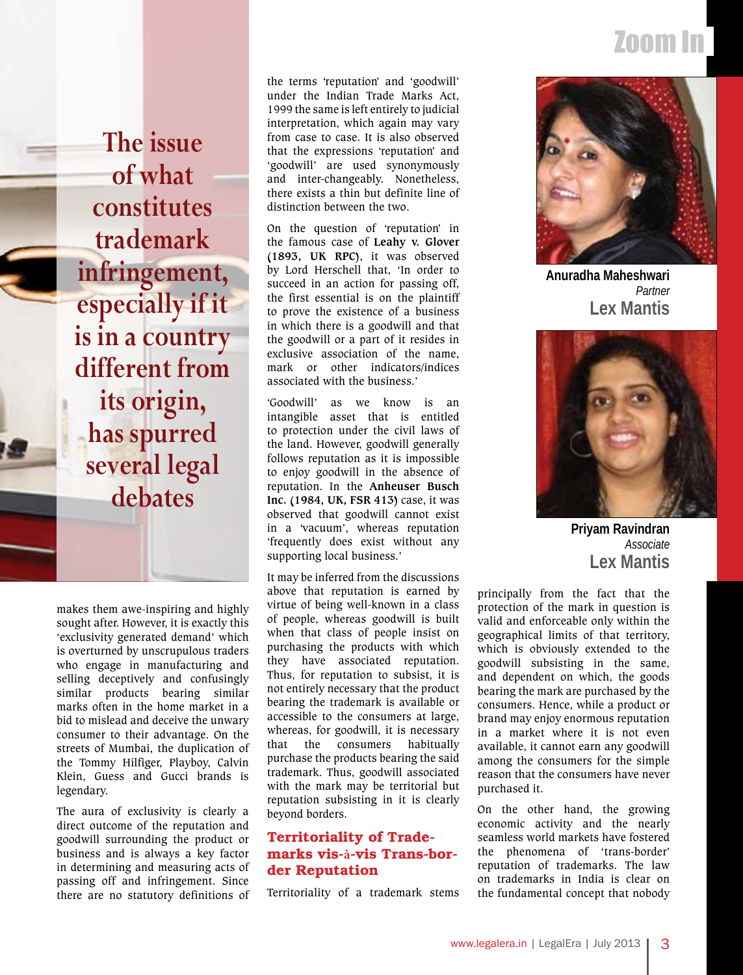## Zoom In

**The issue of what constitutes trademark infringement, especially if it is in a country different from its origin, has spurred several legal debates**

makes them awe-inspiring and highly sought after. However, it is exactly this 'exclusivity generated demand' which is overturned by unscrupulous traders who engage in manufacturing and selling deceptively and confusingly similar products bearing similar marks often in the home market in a bid to mislead and deceive the unwary consumer to their advantage. On the streets of Mumbai, the duplication of the Tommy Hilfiger, Playboy, Calvin Klein, Guess and Gucci brands is legendary.

The aura of exclusivity is clearly a direct outcome of the reputation and goodwill surrounding the product or business and is always a key factor in determining and measuring acts of passing off and infringement. Since there are no statutory definitions of the terms 'reputation' and 'goodwill' under the Indian Trade Marks Act, 1999 the same is left entirely to judicial interpretation, which again may vary from case to case. It is also observed that the expressions 'reputation' and 'goodwill' are used synonymously and inter-changeably. Nonetheless, there exists a thin but definite line of distinction between the two.

On the question of 'reputation' in the famous case of **Leahy v. Glover (1893, UK RPC)**, it was observed by Lord Herschell that, 'In order to succeed in an action for passing off, the first essential is on the plaintiff to prove the existence of a business in which there is a goodwill and that the goodwill or a part of it resides in exclusive association of the name, mark or other indicators/indices associated with the business.'

'Goodwill' as we know is an intangible asset that is entitled to protection under the civil laws of the land. However, goodwill generally follows reputation as it is impossible to enjoy goodwill in the absence of reputation. In the **Anheuser Busch Inc. (1984, UK, FSR 413)** case, it was observed that goodwill cannot exist in a 'vacuum', whereas reputation 'frequently does exist without any supporting local business.'

It may be inferred from the discussions above that reputation is earned by virtue of being well-known in a class of people, whereas goodwill is built when that class of people insist on purchasing the products with which they have associated reputation. Thus, for reputation to subsist, it is not entirely necessary that the product bearing the trademark is available or accessible to the consumers at large, whereas, for goodwill, it is necessary that the consumers habitually purchase the products bearing the said trademark. Thus, goodwill associated with the mark may be territorial but reputation subsisting in it is clearly beyond borders.

### Territoriality of Trademarks vis-**à**-vis Trans-border Reputation

Territoriality of a trademark stems



**Lex Mantis** *Partner* **Anuradha Maheshwari**



**Priyam Ravindran** *Associate* **Lex Mantis**

principally from the fact that the protection of the mark in question is valid and enforceable only within the geographical limits of that territory, which is obviously extended to the goodwill subsisting in the same, and dependent on which, the goods bearing the mark are purchased by the consumers. Hence, while a product or brand may enjoy enormous reputation in a market where it is not even available, it cannot earn any goodwill among the consumers for the simple reason that the consumers have never purchased it.

On the other hand, the growing economic activity and the nearly seamless world markets have fostered the phenomena of 'trans-border' reputation of trademarks. The law on trademarks in India is clear on the fundamental concept that nobody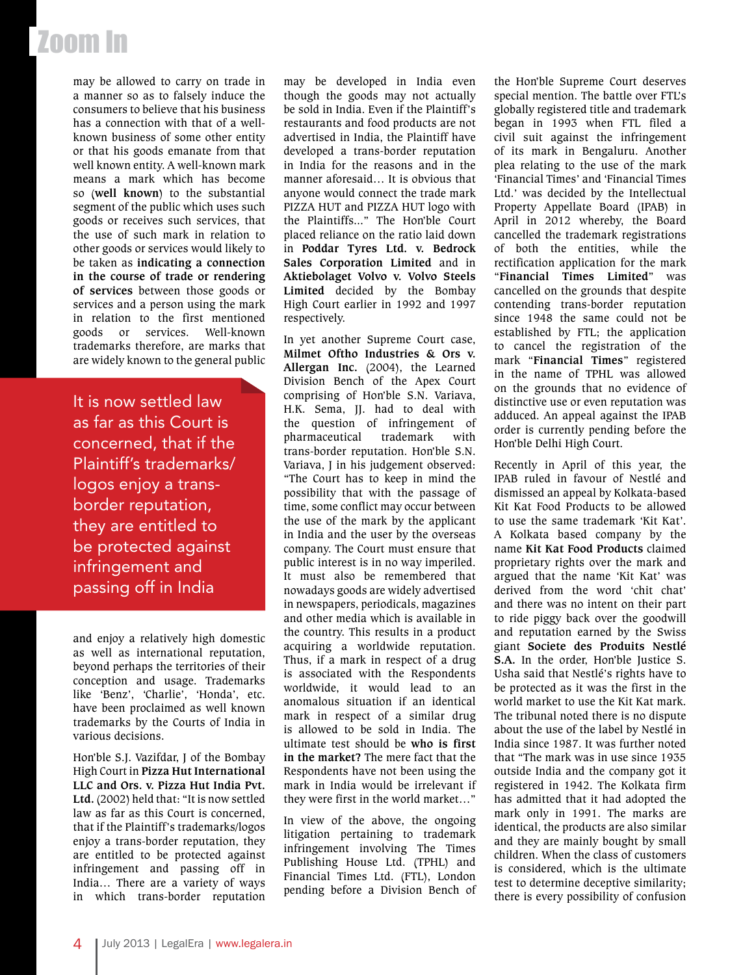# Zoom In

may be allowed to carry on trade in a manner so as to falsely induce the consumers to believe that his business has a connection with that of a wellknown business of some other entity or that his goods emanate from that well known entity. A well-known mark means a mark which has become so (**well known**) to the substantial segment of the public which uses such goods or receives such services, that the use of such mark in relation to other goods or services would likely to be taken as **indicating a connection in the course of trade or rendering of services** between those goods or services and a person using the mark in relation to the first mentioned goods or services. Well-known trademarks therefore, are marks that are widely known to the general public

It is now settled law as far as this Court is concerned, that if the Plaintiff's trademarks/ logos enjoy a transborder reputation, they are entitled to be protected against infringement and passing off in India

and enjoy a relatively high domestic as well as international reputation, beyond perhaps the territories of their conception and usage. Trademarks like 'Benz', 'Charlie', 'Honda', etc. have been proclaimed as well known trademarks by the Courts of India in various decisions.

Hon'ble S.J. Vazifdar, J of the Bombay High Court in **Pizza Hut International LLC and Ors. v. Pizza Hut India Pvt. Ltd.** (2002) held that: "It is now settled law as far as this Court is concerned, that if the Plaintiff's trademarks/logos enjoy a trans-border reputation, they are entitled to be protected against infringement and passing off in India… There are a variety of ways in which trans-border reputation may be developed in India even though the goods may not actually be sold in India. Even if the Plaintiff's restaurants and food products are not advertised in India, the Plaintiff have developed a trans-border reputation in India for the reasons and in the manner aforesaid… It is obvious that anyone would connect the trade mark PIZZA HUT and PIZZA HUT logo with the Plaintiffs..." The Hon'ble Court placed reliance on the ratio laid down in **Poddar Tyres Ltd. v. Bedrock Sales Corporation Limited** and in **Aktiebolaget Volvo v. Volvo Steels Limited** decided by the Bombay High Court earlier in 1992 and 1997 respectively.

In yet another Supreme Court case, **Milmet Oftho Industries & Ors v. Allergan Inc.** (2004), the Learned Division Bench of the Apex Court comprising of Hon'ble S.N. Variava, H.K. Sema, JJ. had to deal with the question of infringement of pharmaceutical trademark with trans-border reputation. Hon'ble S.N. Variava, J in his judgement observed: "The Court has to keep in mind the possibility that with the passage of time, some conflict may occur between the use of the mark by the applicant in India and the user by the overseas company. The Court must ensure that public interest is in no way imperiled. It must also be remembered that nowadays goods are widely advertised in newspapers, periodicals, magazines and other media which is available in the country. This results in a product acquiring a worldwide reputation. Thus, if a mark in respect of a drug is associated with the Respondents worldwide, it would lead to an anomalous situation if an identical mark in respect of a similar drug is allowed to be sold in India. The ultimate test should be **who is first in the market?** The mere fact that the Respondents have not been using the mark in India would be irrelevant if they were first in the world market…"

In view of the above, the ongoing litigation pertaining to trademark infringement involving The Times Publishing House Ltd. (TPHL) and Financial Times Ltd. (FTL), London pending before a Division Bench of

the Hon'ble Supreme Court deserves special mention. The battle over FTL's globally registered title and trademark began in 1993 when FTL filed a civil suit against the infringement of its mark in Bengaluru. Another plea relating to the use of the mark 'Financial Times' and 'Financial Times Ltd.' was decided by the Intellectual Property Appellate Board (IPAB) in April in 2012 whereby, the Board cancelled the trademark registrations of both the entities, while the rectification application for the mark "**Financial Times Limited**" was cancelled on the grounds that despite contending trans-border reputation since 1948 the same could not be established by FTL; the application to cancel the registration of the mark "**Financial Times**" registered in the name of TPHL was allowed on the grounds that no evidence of distinctive use or even reputation was adduced. An appeal against the IPAB order is currently pending before the Hon'ble Delhi High Court.

Recently in April of this year, the IPAB ruled in favour of Nestlé and dismissed an appeal by Kolkata-based Kit Kat Food Products to be allowed to use the same trademark 'Kit Kat'. A Kolkata based company by the name **Kit Kat Food Products** claimed proprietary rights over the mark and argued that the name 'Kit Kat' was derived from the word 'chit chat' and there was no intent on their part to ride piggy back over the goodwill and reputation earned by the Swiss giant **Societe des Produits Nestlé S.A.** In the order, Hon'ble Justice S. Usha said that Nestlé's rights have to be protected as it was the first in the world market to use the Kit Kat mark. The tribunal noted there is no dispute about the use of the label by Nestlé in India since 1987. It was further noted that "The mark was in use since 1935 outside India and the company got it registered in 1942. The Kolkata firm has admitted that it had adopted the mark only in 1991. The marks are identical, the products are also similar and they are mainly bought by small children. When the class of customers is considered, which is the ultimate test to determine deceptive similarity; there is every possibility of confusion